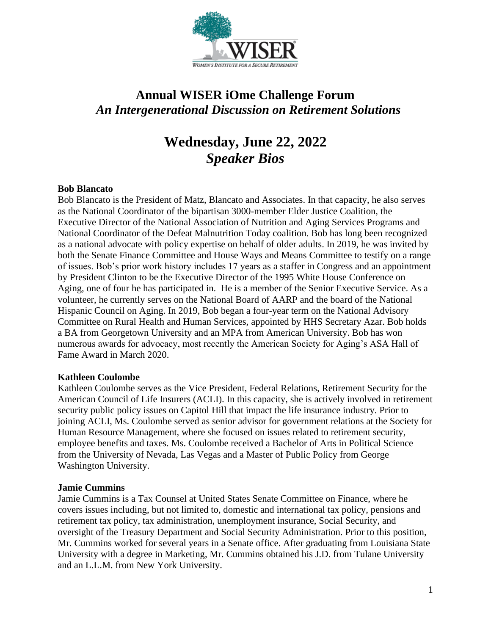

# **Annual WISER iOme Challenge Forum** *An Intergenerational Discussion on Retirement Solutions*

# **Wednesday, June 22, 2022** *Speaker Bios*

# **Bob Blancato**

Bob Blancato is the President of Matz, Blancato and Associates. In that capacity, he also serves as the National Coordinator of the bipartisan 3000-member Elder Justice Coalition, the Executive Director of the National Association of Nutrition and Aging Services Programs and National Coordinator of the Defeat Malnutrition Today coalition. Bob has long been recognized as a national advocate with policy expertise on behalf of older adults. In 2019, he was invited by both the Senate Finance Committee and House Ways and Means Committee to testify on a range of issues. Bob's prior work history includes 17 years as a staffer in Congress and an appointment by President Clinton to be the Executive Director of the 1995 White House Conference on Aging, one of four he has participated in. He is a member of the Senior Executive Service. As a volunteer, he currently serves on the National Board of AARP and the board of the National Hispanic Council on Aging. In 2019, Bob began a four-year term on the National Advisory Committee on Rural Health and Human Services, appointed by HHS Secretary Azar. Bob holds a BA from Georgetown University and an MPA from American University. Bob has won numerous awards for advocacy, most recently the American Society for Aging's ASA Hall of Fame Award in March 2020.

#### **Kathleen Coulombe**

Kathleen Coulombe serves as the Vice President, Federal Relations, Retirement Security for the American Council of Life Insurers (ACLI). In this capacity, she is actively involved in retirement security public policy issues on Capitol Hill that impact the life insurance industry. Prior to joining ACLI, Ms. Coulombe served as senior advisor for government relations at the Society for Human Resource Management, where she focused on issues related to retirement security, employee benefits and taxes. Ms. Coulombe received a Bachelor of Arts in Political Science from the University of Nevada, Las Vegas and a Master of Public Policy from George Washington University.

#### **Jamie Cummins**

Jamie Cummins is a Tax Counsel at United States Senate Committee on Finance, where he covers issues including, but not limited to, domestic and international tax policy, pensions and retirement tax policy, tax administration, unemployment insurance, Social Security, and oversight of the Treasury Department and Social Security Administration. Prior to this position, Mr. Cummins worked for several years in a Senate office. After graduating from Louisiana State University with a degree in Marketing, Mr. Cummins obtained his J.D. from Tulane University and an L.L.M. from New York University.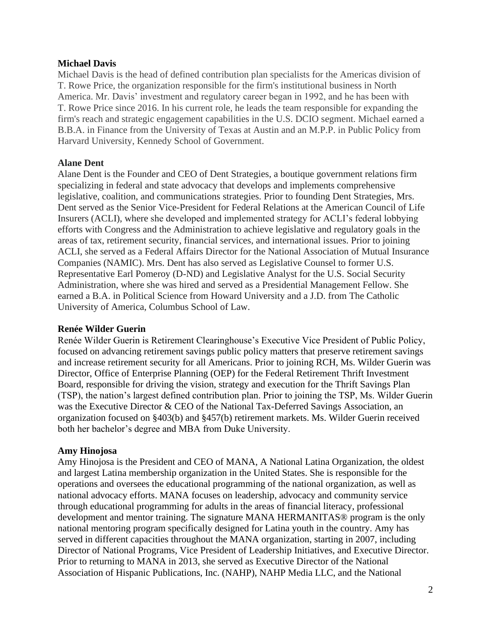# **Michael Davis**

Michael Davis is the head of defined contribution plan specialists for the Americas division of T. Rowe Price, the organization responsible for the firm's institutional business in North America. Mr. Davis' investment and regulatory career began in 1992, and he has been with T. Rowe Price since 2016. In his current role, he leads the team responsible for expanding the firm's reach and strategic engagement capabilities in the U.S. DCIO segment. Michael earned a B.B.A. in Finance from the University of Texas at Austin and an M.P.P. in Public Policy from Harvard University, Kennedy School of Government.

# **Alane Dent**

Alane Dent is the Founder and CEO of Dent Strategies, a boutique government relations firm specializing in federal and state advocacy that develops and implements comprehensive legislative, coalition, and communications strategies. Prior to founding Dent Strategies, Mrs. Dent served as the Senior Vice-President for Federal Relations at the American Council of Life Insurers (ACLI), where she developed and implemented strategy for ACLI's federal lobbying efforts with Congress and the Administration to achieve legislative and regulatory goals in the areas of tax, retirement security, financial services, and international issues. Prior to joining ACLI, she served as a Federal Affairs Director for the National Association of Mutual Insurance Companies (NAMIC). Mrs. Dent has also served as Legislative Counsel to former U.S. Representative Earl Pomeroy (D-ND) and Legislative Analyst for the U.S. Social Security Administration, where she was hired and served as a Presidential Management Fellow. She earned a B.A. in Political Science from Howard University and a J.D. from The Catholic University of America, Columbus School of Law.

#### **Renée Wilder Guerin**

Renée Wilder Guerin is Retirement Clearinghouse's Executive Vice President of Public Policy, focused on advancing retirement savings public policy matters that preserve retirement savings and increase retirement security for all Americans. Prior to joining RCH, Ms. Wilder Guerin was Director, Office of Enterprise Planning (OEP) for the Federal Retirement Thrift Investment Board, responsible for driving the vision, strategy and execution for the Thrift Savings Plan (TSP), the nation's largest defined contribution plan. Prior to joining the TSP, Ms. Wilder Guerin was the Executive Director & CEO of the National Tax-Deferred Savings Association, an organization focused on §403(b) and §457(b) retirement markets. Ms. Wilder Guerin received both her bachelor's degree and MBA from Duke University.

# **Amy Hinojosa**

Amy Hinojosa is the President and CEO of MANA, A National Latina Organization, the oldest and largest Latina membership organization in the United States. She is responsible for the operations and oversees the educational programming of the national organization, as well as national advocacy efforts. MANA focuses on leadership, advocacy and community service through educational programming for adults in the areas of financial literacy, professional development and mentor training. The signature MANA HERMANITAS® program is the only national mentoring program specifically designed for Latina youth in the country. Amy has served in different capacities throughout the MANA organization, starting in 2007, including Director of National Programs, Vice President of Leadership Initiatives, and Executive Director. Prior to returning to MANA in 2013, she served as Executive Director of the National Association of Hispanic Publications, Inc. (NAHP), NAHP Media LLC, and the National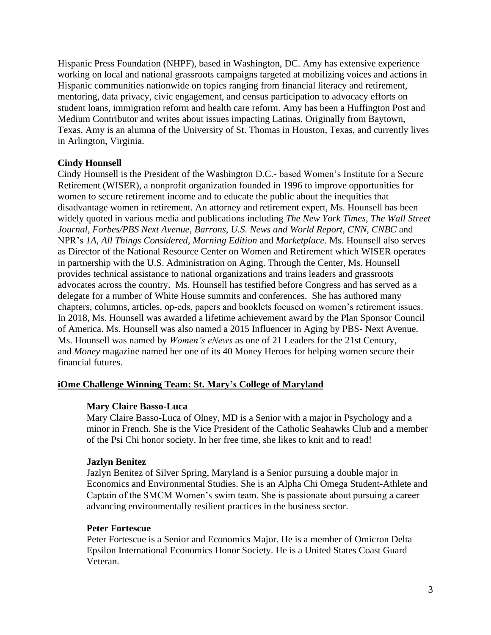Hispanic Press Foundation (NHPF), based in Washington, DC. Amy has extensive experience working on local and national grassroots campaigns targeted at mobilizing voices and actions in Hispanic communities nationwide on topics ranging from financial literacy and retirement, mentoring, data privacy, civic engagement, and census participation to advocacy efforts on student loans, immigration reform and health care reform. Amy has been a Huffington Post and Medium Contributor and writes about issues impacting Latinas. Originally from Baytown, Texas, Amy is an alumna of the University of St. Thomas in Houston, Texas, and currently lives in Arlington, Virginia.

# **Cindy Hounsell**

Cindy Hounsell is the President of the Washington D.C.- based Women's Institute for a Secure Retirement (WISER), a nonprofit organization founded in 1996 to improve opportunities for women to secure retirement income and to educate the public about the inequities that disadvantage women in retirement. An attorney and retirement expert, Ms. Hounsell has been widely quoted in various media and publications including *The New York Times*, *The Wall Street Journal*, *Forbes/PBS Next Avenue*, *Barrons*, *U.S. News and World Report*, *CNN*, *CNBC* and NPR's *1A*, *All Things Considered, Morning Edition* and *Marketplace.* Ms. Hounsell also serves as Director of the National Resource Center on Women and Retirement which WISER operates in partnership with the U.S. Administration on Aging. Through the Center, Ms. Hounsell provides technical assistance to national organizations and trains leaders and grassroots advocates across the country. Ms. Hounsell has testified before Congress and has served as a delegate for a number of White House summits and conferences. She has authored many chapters, columns, articles, op-eds, papers and booklets focused on women's retirement issues. In 2018, Ms. Hounsell was awarded a lifetime achievement award by the Plan Sponsor Council of America. Ms. Hounsell was also named a 2015 Influencer in Aging by PBS- Next Avenue. Ms. Hounsell was named by *Women's eNews* as one of 21 Leaders for the 21st Century, and *Money* magazine named her one of its 40 Money Heroes for helping women secure their financial futures.

#### **iOme Challenge Winning Team: St. Mary's College of Maryland**

#### **Mary Claire Basso-Luca**

Mary Claire Basso-Luca of Olney, MD is a Senior with a major in Psychology and a minor in French. She is the Vice President of the Catholic Seahawks Club and a member of the Psi Chi honor society. In her free time, she likes to knit and to read!

#### **Jazlyn Benitez**

Jazlyn Benitez of Silver Spring, Maryland is a Senior pursuing a double major in Economics and Environmental Studies. She is an Alpha Chi Omega Student-Athlete and Captain of the SMCM Women's swim team. She is passionate about pursuing a career advancing environmentally resilient practices in the business sector.

#### **Peter Fortescue**

Peter Fortescue is a Senior and Economics Major. He is a member of Omicron Delta Epsilon International Economics Honor Society. He is a United States Coast Guard Veteran.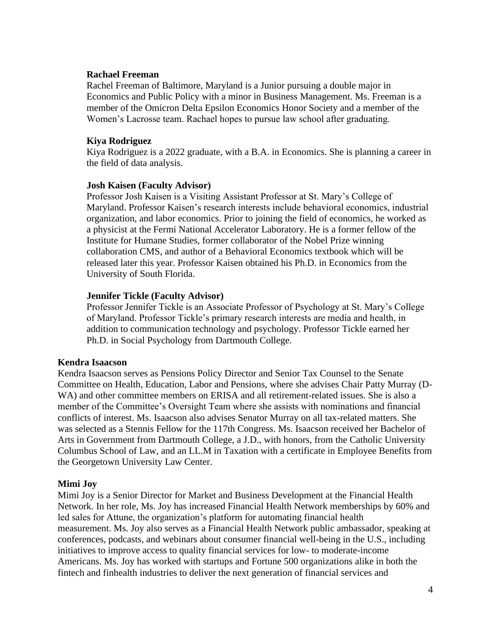#### **Rachael Freeman**

Rachel Freeman of Baltimore, Maryland is a Junior pursuing a double major in Economics and Public Policy with a minor in Business Management. Ms. Freeman is a member of the Omicron Delta Epsilon Economics Honor Society and a member of the Women's Lacrosse team. Rachael hopes to pursue law school after graduating.

#### **Kiya Rodriguez**

Kiya Rodriguez is a 2022 graduate, with a B.A. in Economics. She is planning a career in the field of data analysis.

#### **Josh Kaisen (Faculty Advisor)**

Professor Josh Kaisen is a Visiting Assistant Professor at St. Mary's College of Maryland. Professor Kaisen's research interests include behavioral economics, industrial organization, and labor economics. Prior to joining the field of economics, he worked as a physicist at the Fermi National Accelerator Laboratory. He is a former fellow of the Institute for Humane Studies, former collaborator of the Nobel Prize winning collaboration CMS, and author of a Behavioral Economics textbook which will be released later this year. Professor Kaisen obtained his Ph.D. in Economics from the University of South Florida.

#### **Jennifer Tickle (Faculty Advisor)**

Professor Jennifer Tickle is an Associate Professor of Psychology at St. Mary's College of Maryland. Professor Tickle's primary research interests are media and health, in addition to communication technology and psychology. Professor Tickle earned her Ph.D. in Social Psychology from Dartmouth College.

#### **Kendra Isaacson**

Kendra Isaacson serves as Pensions Policy Director and Senior Tax Counsel to the Senate Committee on Health, Education, Labor and Pensions, where she advises Chair Patty Murray (D-WA) and other committee members on ERISA and all retirement-related issues. She is also a member of the Committee's Oversight Team where she assists with nominations and financial conflicts of interest. Ms. Isaacson also advises Senator Murray on all tax-related matters. She was selected as a Stennis Fellow for the 117th Congress. Ms. Isaacson received her Bachelor of Arts in Government from Dartmouth College, a J.D., with honors, from the Catholic University Columbus School of Law, and an LL.M in Taxation with a certificate in Employee Benefits from the Georgetown University Law Center.

#### **Mimi Joy**

Mimi Joy is a Senior Director for Market and Business Development at the Financial Health Network. In her role, Ms. Joy has increased Financial Health Network memberships by 60% and led sales for Attune, the organization's platform for automating financial health measurement. Ms. Joy also serves as a Financial Health Network public ambassador, speaking at conferences, podcasts, and webinars about consumer financial well-being in the U.S., including initiatives to improve access to quality financial services for low- to moderate-income Americans. Ms. Joy has worked with startups and Fortune 500 organizations alike in both the fintech and finhealth industries to deliver the next generation of financial services and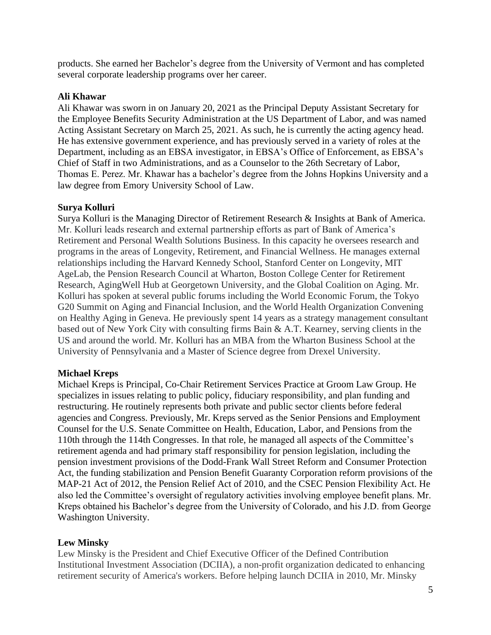products. She earned her Bachelor's degree from the University of Vermont and has completed several corporate leadership programs over her career.

# **Ali Khawar**

Ali Khawar was sworn in on January 20, 2021 as the Principal Deputy Assistant Secretary for the Employee Benefits Security Administration at the US Department of Labor, and was named Acting Assistant Secretary on March 25, 2021. As such, he is currently the acting agency head. He has extensive government experience, and has previously served in a variety of roles at the Department, including as an EBSA investigator, in EBSA's Office of Enforcement, as EBSA's Chief of Staff in two Administrations, and as a Counselor to the 26th Secretary of Labor, Thomas E. Perez. Mr. Khawar has a bachelor's degree from the Johns Hopkins University and a law degree from Emory University School of Law.

# **Surya Kolluri**

Surya Kolluri is the Managing Director of Retirement Research & Insights at Bank of America. Mr. Kolluri leads research and external partnership efforts as part of Bank of America's Retirement and Personal Wealth Solutions Business. In this capacity he oversees research and programs in the areas of Longevity, Retirement, and Financial Wellness. He manages external relationships including the Harvard Kennedy School, Stanford Center on Longevity, MIT AgeLab, the Pension Research Council at Wharton, Boston College Center for Retirement Research, AgingWell Hub at Georgetown University, and the Global Coalition on Aging. Mr. Kolluri has spoken at several public forums including the World Economic Forum, the Tokyo G20 Summit on Aging and Financial Inclusion, and the World Health Organization Convening on Healthy Aging in Geneva. He previously spent 14 years as a strategy management consultant based out of New York City with consulting firms Bain & A.T. Kearney, serving clients in the US and around the world. Mr. Kolluri has an MBA from the Wharton Business School at the University of Pennsylvania and a Master of Science degree from Drexel University.

#### **Michael Kreps**

Michael Kreps is Principal, Co-Chair Retirement Services Practice at Groom Law Group. He specializes in issues relating to public policy, fiduciary responsibility, and plan funding and restructuring. He routinely represents both private and public sector clients before federal agencies and Congress. Previously, Mr. Kreps served as the Senior Pensions and Employment Counsel for the U.S. Senate Committee on Health, Education, Labor, and Pensions from the 110th through the 114th Congresses. In that role, he managed all aspects of the Committee's retirement agenda and had primary staff responsibility for pension legislation, including the pension investment provisions of the Dodd-Frank Wall Street Reform and Consumer Protection Act, the funding stabilization and Pension Benefit Guaranty Corporation reform provisions of the MAP-21 Act of 2012, the Pension Relief Act of 2010, and the CSEC Pension Flexibility Act. He also led the Committee's oversight of regulatory activities involving employee benefit plans. Mr. Kreps obtained his Bachelor's degree from the University of Colorado, and his J.D. from George Washington University.

#### **Lew Minsky**

Lew Minsky is the President and Chief Executive Officer of the Defined Contribution Institutional Investment Association (DCIIA), a non-profit organization dedicated to enhancing retirement security of America's workers. Before helping launch DCIIA in 2010, Mr. Minsky